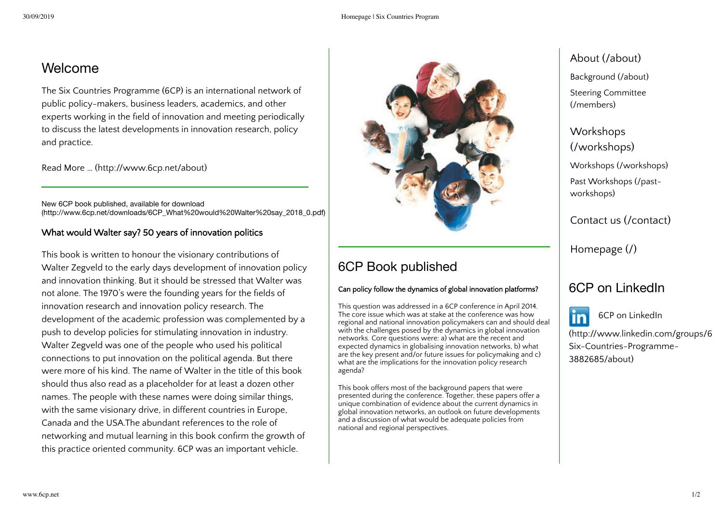### Welcome

The Six Countries Programme (6CP) is an international network of public policy-makers, business leaders, academics, and other experts working in the field of innovation and meeting periodically to discuss the latest developments in innovation research, policy and practice.

Read More … [\(http://www.6cp.net/about\)](http://www.6cp.net/about)

New 6CP book published, available for download [\(http://www.6cp.net/downloads/6CP\\_What%20would%20Walter%20say\\_2018\\_0.pdf\)](http://www.6cp.net/downloads/6CP_What%20would%20Walter%20say_2018_0.pdf)

#### What would Walter say? 50 years of innovation politics

This book is written to honour the visionary contributions of Walter Zegveld to the early days development of innovation policy and innovation thinking. But it should be stressed that Walter was not alone. The 1970's were the founding years for the fields of innovation research and innovation policy research. The development of the academic profession was complemented by a push to develop policies for stimulating innovation in industry. Walter Zegveld was one of the people who used his political connections to put innovation on the political agenda. But there were more of his kind. The name of Walter in the title of this book should thus also read as a placeholder for at least a dozen other names. The people with these names were doing similar things, with the same visionary drive, in different countries in Europe, Canada and the USA.The abundant references to the role of networking and mutual learning in this book confirm the growth of this practice oriented community. 6CP was an important vehicle.



# 6CP Book published

#### Can policy follow the dynamics of global innovation platforms?

This question was addressed in a 6CP conference in April 2014. The core issue which was at stake at the conference was how regional and national innovation policymakers can and should deal with the challenges posed by the dynamics in global innovation networks. Core questions were: a) what are the recent and expected dynamics in globalising innovation networks, b) what are the key present and/or future issues for policymaking and c) what are the implications for the innovation policy research agenda?

This book offers most of the background papers that were presented during the conference. Together, these papers offer a unique combination of evidence about the current dynamics in global innovation networks, an outlook on future developments and a discussion of what would be adequate policies from national and regional perspectives.

## About [\(/about\)](http://www.6cp.net/about)

[Background \(/about\)](http://www.6cp.net/about) [Steering Committee](http://www.6cp.net/members) (/members)

Workshops [\(/workshops\)](http://www.6cp.net/workshops) [Workshops \(/workshops\)](http://www.6cp.net/workshops) [Past Workshops \(/past](http://www.6cp.net/past-workshops)workshops)

Contact us [\(/contact\)](http://www.6cp.net/contact)

[Homepage](http://www.6cp.net/) (/)

### 6CP on LinkedIn



6CP on LinkedIn

[\(http://www.linkedin.com/groups/6](http://www.linkedin.com/groups/6CP-Six-Countries-Programme-3882685/about) Six-Countries-Programme-3882685/about)